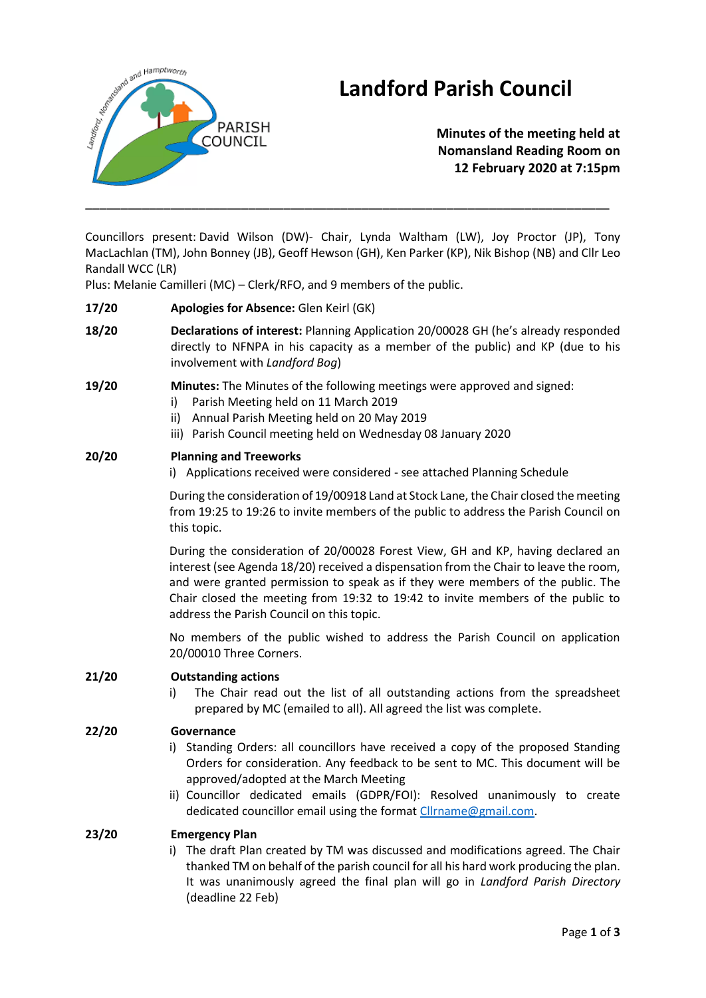



# **Minutes of the meeting held at Nomansland Reading Room on 12 February 2020 at 7:15pm**

Councillors present: David Wilson (DW)- Chair, Lynda Waltham (LW), Joy Proctor (JP), Tony MacLachlan (TM), John Bonney (JB), Geoff Hewson (GH), Ken Parker (KP), Nik Bishop (NB) and Cllr Leo Randall WCC (LR)

\_\_\_\_\_\_\_\_\_\_\_\_\_\_\_\_\_\_\_\_\_\_\_\_\_\_\_\_\_\_\_\_\_\_\_\_\_\_\_\_\_\_\_\_\_\_\_\_\_\_\_\_\_\_\_\_\_\_\_\_\_\_\_\_\_\_\_\_\_\_\_\_\_\_

Plus: Melanie Camilleri (MC) – Clerk/RFO, and 9 members of the public.

## **17/20 Apologies for Absence:** Glen Keirl (GK)

**18/20 Declarations of interest:** Planning Application 20/00028 GH (he's already responded directly to NFNPA in his capacity as a member of the public) and KP (due to his involvement with *Landford Bog*)

## **19/20 Minutes:** The Minutes of the following meetings were approved and signed:

- i) Parish Meeting held on 11 March 2019
- ii) Annual Parish Meeting held on 20 May 2019
- iii) Parish Council meeting held on Wednesday 08 January 2020

#### **20/20 Planning and Treeworks**

i) Applications received were considered - see attached Planning Schedule

During the consideration of 19/00918 Land at Stock Lane, the Chair closed the meeting from 19:25 to 19:26 to invite members of the public to address the Parish Council on this topic.

During the consideration of 20/00028 Forest View, GH and KP, having declared an interest (see Agenda 18/20) received a dispensation from the Chair to leave the room, and were granted permission to speak as if they were members of the public. The Chair closed the meeting from 19:32 to 19:42 to invite members of the public to address the Parish Council on this topic.

No members of the public wished to address the Parish Council on application 20/00010 Three Corners.

#### **21/20 Outstanding actions**

i) The Chair read out the list of all outstanding actions from the spreadsheet prepared by MC (emailed to all). All agreed the list was complete.

#### **22/20 Governance**

- i) Standing Orders: all councillors have received a copy of the proposed Standing Orders for consideration. Any feedback to be sent to MC. This document will be approved/adopted at the March Meeting
- ii) Councillor dedicated emails (GDPR/FOI): Resolved unanimously to create dedicated councillor email using the format [Cllrname@gmail.com.](mailto:Cllrname@gmail.com)

#### **23/20 Emergency Plan**

i) The draft Plan created by TM was discussed and modifications agreed. The Chair thanked TM on behalf of the parish council for all his hard work producing the plan. It was unanimously agreed the final plan will go in *Landford Parish Directory* (deadline 22 Feb)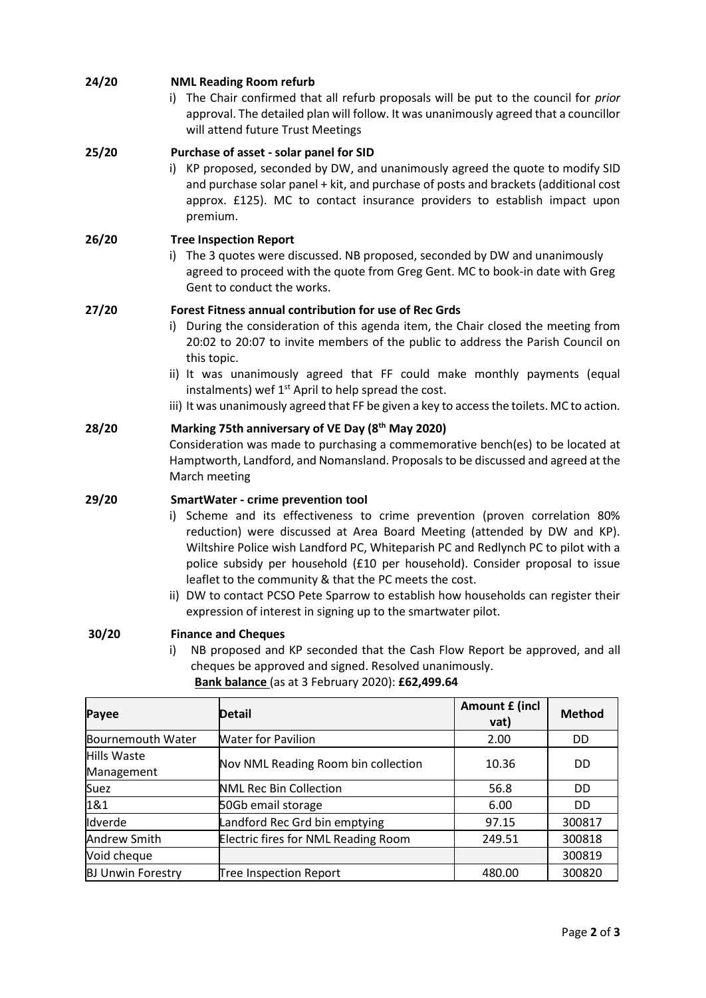| 24/20 | <b>NML Reading Room refurb</b><br>i) The Chair confirmed that all refurb proposals will be put to the council for prior<br>approval. The detailed plan will follow. It was unanimously agreed that a councillor<br>will attend future Trust Meetings                                                                                                                                                                                                                                                                                                                                           |
|-------|------------------------------------------------------------------------------------------------------------------------------------------------------------------------------------------------------------------------------------------------------------------------------------------------------------------------------------------------------------------------------------------------------------------------------------------------------------------------------------------------------------------------------------------------------------------------------------------------|
| 25/20 | Purchase of asset - solar panel for SID<br>i) KP proposed, seconded by DW, and unanimously agreed the quote to modify SID<br>and purchase solar panel + kit, and purchase of posts and brackets (additional cost<br>approx. £125). MC to contact insurance providers to establish impact upon<br>premium.                                                                                                                                                                                                                                                                                      |
| 26/20 | <b>Tree Inspection Report</b><br>i) The 3 quotes were discussed. NB proposed, seconded by DW and unanimously<br>agreed to proceed with the quote from Greg Gent. MC to book-in date with Greg<br>Gent to conduct the works.                                                                                                                                                                                                                                                                                                                                                                    |
| 27/20 | Forest Fitness annual contribution for use of Rec Grds<br>i) During the consideration of this agenda item, the Chair closed the meeting from<br>20:02 to 20:07 to invite members of the public to address the Parish Council on<br>this topic.<br>ii) It was unanimously agreed that FF could make monthly payments (equal<br>instalments) wef 1 <sup>st</sup> April to help spread the cost.<br>iii) It was unanimously agreed that FF be given a key to access the toilets. MC to action.                                                                                                    |
| 28/20 | Marking 75th anniversary of VE Day (8th May 2020)<br>Consideration was made to purchasing a commemorative bench(es) to be located at<br>Hamptworth, Landford, and Nomansland. Proposals to be discussed and agreed at the<br>March meeting                                                                                                                                                                                                                                                                                                                                                     |
| 29/20 | <b>SmartWater - crime prevention tool</b><br>Scheme and its effectiveness to crime prevention (proven correlation 80%<br>i).<br>reduction) were discussed at Area Board Meeting (attended by DW and KP).<br>Wiltshire Police wish Landford PC, Whiteparish PC and Redlynch PC to pilot with a<br>police subsidy per household (£10 per household). Consider proposal to issue<br>leaflet to the community & that the PC meets the cost.<br>ii) DW to contact PCSO Pete Sparrow to establish how households can register their<br>expression of interest in signing up to the smartwater pilot. |
| 30/20 | <b>Finance and Cheques</b><br>NB proposed and KP seconded that the Cash Flow Report be approved, and all<br>i)<br>cheques be approved and signed. Resolved unanimously.<br>Bank balance (as at 3 February 2020): £62,499.64                                                                                                                                                                                                                                                                                                                                                                    |

| Payee                     | <b>Detail</b>                       | <b>Amount £ (incl</b><br>vat) | <b>Method</b>  |
|---------------------------|-------------------------------------|-------------------------------|----------------|
| Bournemouth Water         | <b>Water for Pavilion</b>           | 2.00                          | DD.            |
| Hills Waste<br>Management | Nov NML Reading Room bin collection | 10.36                         | <b>DD</b>      |
| Suez                      | <b>NML Rec Bin Collection</b>       | 56.8                          | D <sub>D</sub> |
| 1&1                       | 50Gb email storage                  | 6.00                          | D <sub>D</sub> |
| Idverde                   | Landford Rec Grd bin emptying       | 97.15                         | 300817         |
| <b>Andrew Smith</b>       | Electric fires for NML Reading Room | 249.51                        | 300818         |
| Void cheque               |                                     |                               | 300819         |
| <b>BJ Unwin Forestry</b>  | <b>Tree Inspection Report</b>       | 480.00                        | 300820         |